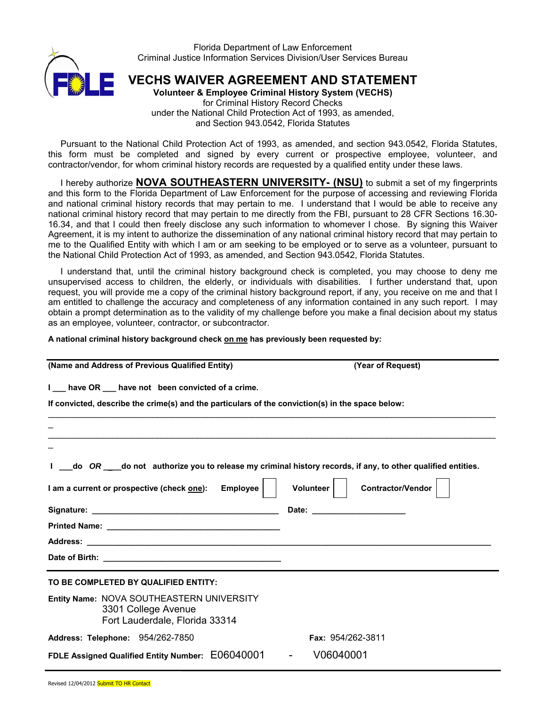

Florida Department of Law Enforcement Criminal Justice Information Services Division/User Services Bureau

## **VECHS WAIVER AGREEMENT AND STATEMENT**

**Volunteer & Employee Criminal History System (VECHS)**  for Criminal History Record Checks under the National Child Protection Act of 1993, as amended, and Section 943.0542, Florida Statutes

 Pursuant to the National Child Protection Act of 1993, as amended, and section 943.0542, Florida Statutes, this form must be completed and signed by every current or prospective employee, volunteer, and contractor/vendor, for whom criminal history records are requested by a qualified entity under these laws.

 I hereby authorize **NOVA SOUTHEASTERN UNIVERSITY- (NSU)** to submit a set of my fingerprints and this form to the Florida Department of Law Enforcement for the purpose of accessing and reviewing Florida and national criminal history records that may pertain to me. I understand that I would be able to receive any national criminal history record that may pertain to me directly from the FBI, pursuant to 28 CFR Sections 16.30- 16.34, and that I could then freely disclose any such information to whomever I chose. By signing this Waiver Agreement, it is my intent to authorize the dissemination of any national criminal history record that may pertain to me to the Qualified Entity with which I am or am seeking to be employed or to serve as a volunteer, pursuant to the National Child Protection Act of 1993, as amended, and Section 943.0542, Florida Statutes.

 I understand that, until the criminal history background check is completed, you may choose to deny me unsupervised access to children, the elderly, or individuals with disabilities. I further understand that, upon request, you will provide me a copy of the criminal history background report, if any, you receive on me and that I am entitled to challenge the accuracy and completeness of any information contained in any such report. I may obtain a prompt determination as to the validity of my challenge before you make a final decision about my status as an employee, volunteer, contractor, or subcontractor.

**A national criminal history background check on me has previously been requested by:** 

| (Name and Address of Previous Qualified Entity)                                                              | (Year of Request)                                                                                                                                                                                                              |
|--------------------------------------------------------------------------------------------------------------|--------------------------------------------------------------------------------------------------------------------------------------------------------------------------------------------------------------------------------|
| I_ have OR _ have not been convicted of a crime.                                                             |                                                                                                                                                                                                                                |
| If convicted, describe the crime(s) and the particulars of the conviction(s) in the space below:             |                                                                                                                                                                                                                                |
|                                                                                                              |                                                                                                                                                                                                                                |
|                                                                                                              |                                                                                                                                                                                                                                |
| do OR _____do not authorize you to release my criminal history records, if any, to other qualified entities. |                                                                                                                                                                                                                                |
| <b>Employee</b><br>I am a current or prospective (check one):                                                | <b>Contractor/Vendor</b><br>Volunteer                                                                                                                                                                                          |
|                                                                                                              | Date: the contract of the contract of the contract of the contract of the contract of the contract of the contract of the contract of the contract of the contract of the contract of the contract of the contract of the cont |
|                                                                                                              |                                                                                                                                                                                                                                |
|                                                                                                              |                                                                                                                                                                                                                                |
|                                                                                                              |                                                                                                                                                                                                                                |
| TO BE COMPLETED BY QUALIFIED ENTITY:                                                                         |                                                                                                                                                                                                                                |
| Entity Name: NOVA SOUTHEASTERN UNIVERSITY<br>3301 College Avenue<br>Fort Lauderdale, Florida 33314           |                                                                                                                                                                                                                                |
| Address: Telephone: 954/262-7850                                                                             | Fax: 954/262-3811                                                                                                                                                                                                              |
| FDLE Assigned Qualified Entity Number: E06040001                                                             | V06040001                                                                                                                                                                                                                      |